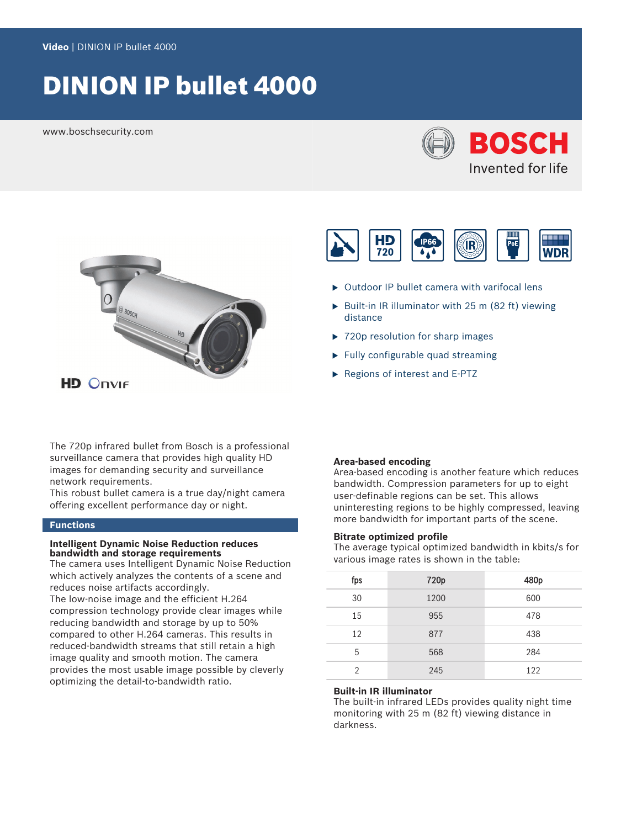# DINION IP bullet 4000

www.boschsecurity.com





The 720p infrared bullet from Bosch is a professional surveillance camera that provides high quality HD images for demanding security and surveillance network requirements.

This robust bullet camera is a true day/night camera offering excellent performance day or night.

#### **Functions**

#### **Intelligent Dynamic Noise Reduction reduces bandwidth and storage requirements**

The camera uses Intelligent Dynamic Noise Reduction which actively analyzes the contents of a scene and reduces noise artifacts accordingly.

The low-noise image and the efficient H.264 compression technology provide clear images while reducing bandwidth and storage by up to 50% compared to other H.264 cameras. This results in reduced-bandwidth streams that still retain a high image quality and smooth motion. The camera provides the most usable image possible by cleverly optimizing the detail-to-bandwidth ratio.



- $\triangleright$  Outdoor IP bullet camera with varifocal lens
- $\triangleright$  Built-in IR illuminator with 25 m (82 ft) viewing distance
- $\triangleright$  720p resolution for sharp images
- $\blacktriangleright$  Fully configurable quad streaming
- Regions of interest and E-PTZ

#### **Area-based encoding**

Area-based encoding is another feature which reduces bandwidth. Compression parameters for up to eight user-definable regions can be set. This allows uninteresting regions to be highly compressed, leaving more bandwidth for important parts of the scene.

#### **Bitrate optimized profile**

The average typical optimized bandwidth in kbits/s for various image rates is shown in the table:

| fps            | 720p | 480p |
|----------------|------|------|
| 30             | 1200 | 600  |
| 15             | 955  | 478  |
| 12             | 877  | 438  |
| 5              | 568  | 284  |
| $\mathfrak{D}$ | 245  | 122  |

#### **Built-in IR illuminator**

The built-in infrared LEDs provides quality night time monitoring with 25 m (82 ft) viewing distance in darkness.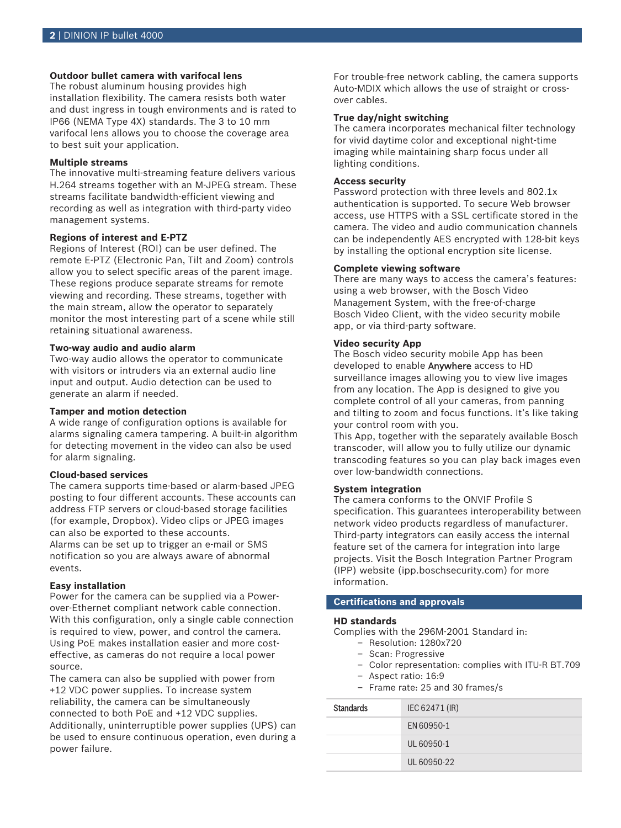## **Outdoor bullet camera with varifocal lens**

The robust aluminum housing provides high installation flexibility. The camera resists both water and dust ingress in tough environments and is rated to IP66 (NEMA Type 4X) standards. The 3 to 10 mm varifocal lens allows you to choose the coverage area to best suit your application.

### **Multiple streams**

The innovative multi-streaming feature delivers various H.264 streams together with an M‑JPEG stream. These streams facilitate bandwidth-efficient viewing and recording as well as integration with third-party video management systems.

### **Regions of interest and E-PTZ**

Regions of Interest (ROI) can be user defined. The remote E-PTZ (Electronic Pan, Tilt and Zoom) controls allow you to select specific areas of the parent image. These regions produce separate streams for remote viewing and recording. These streams, together with the main stream, allow the operator to separately monitor the most interesting part of a scene while still retaining situational awareness.

#### **Two-way audio and audio alarm**

Two-way audio allows the operator to communicate with visitors or intruders via an external audio line input and output. Audio detection can be used to generate an alarm if needed.

### **Tamper and motion detection**

A wide range of configuration options is available for alarms signaling camera tampering. A built-in algorithm for detecting movement in the video can also be used for alarm signaling.

### **Cloud-based services**

The camera supports time-based or alarm-based JPEG posting to four different accounts. These accounts can address FTP servers or cloud-based storage facilities (for example, Dropbox). Video clips or JPEG images can also be exported to these accounts. Alarms can be set up to trigger an e-mail or SMS notification so you are always aware of abnormal events.

#### **Easy installation**

Power for the camera can be supplied via a Powerover-Ethernet compliant network cable connection. With this configuration, only a single cable connection is required to view, power, and control the camera. Using PoE makes installation easier and more costeffective, as cameras do not require a local power source.

The camera can also be supplied with power from +12 VDC power supplies. To increase system reliability, the camera can be simultaneously connected to both PoE and +12 VDC supplies. Additionally, uninterruptible power supplies (UPS) can be used to ensure continuous operation, even during a power failure.

For trouble-free network cabling, the camera supports Auto-MDIX which allows the use of straight or crossover cables.

### **True day/night switching**

The camera incorporates mechanical filter technology for vivid daytime color and exceptional night-time imaging while maintaining sharp focus under all lighting conditions.

#### **Access security**

Password protection with three levels and 802.1x authentication is supported. To secure Web browser access, use HTTPS with a SSL certificate stored in the camera. The video and audio communication channels can be independently AES encrypted with 128-bit keys by installing the optional encryption site license.

### **Complete viewing software**

There are many ways to access the camera's features: using a web browser, with the Bosch Video Management System, with the free-of-charge Bosch Video Client, with the video security mobile app, or via third-party software.

#### **Video security App**

The Bosch video security mobile App has been developed to enable Anywhere access to HD surveillance images allowing you to view live images from any location. The App is designed to give you complete control of all your cameras, from panning and tilting to zoom and focus functions. It's like taking your control room with you.

This App, together with the separately available Bosch transcoder, will allow you to fully utilize our dynamic transcoding features so you can play back images even over low-bandwidth connections.

#### **System integration**

The camera conforms to the ONVIF Profile S specification. This guarantees interoperability between network video products regardless of manufacturer. Third-party integrators can easily access the internal feature set of the camera for integration into large projects. Visit the Bosch Integration Partner Program (IPP) website (ipp.boschsecurity.com) for more information.

# **Certifications and approvals**

#### **HD standards**

Complies with the 296M-2001 Standard in:

- Resolution: 1280x720
- Scan: Progressive
- Color representation: complies with ITU-R BT.709
- Aspect ratio: 16:9
- Frame rate: 25 and 30 frames/s

| <b>Standards</b> | IEC 62471 (IR) |
|------------------|----------------|
|                  | EN 60950-1     |
|                  | UL 60950-1     |
|                  | UL 60950-22    |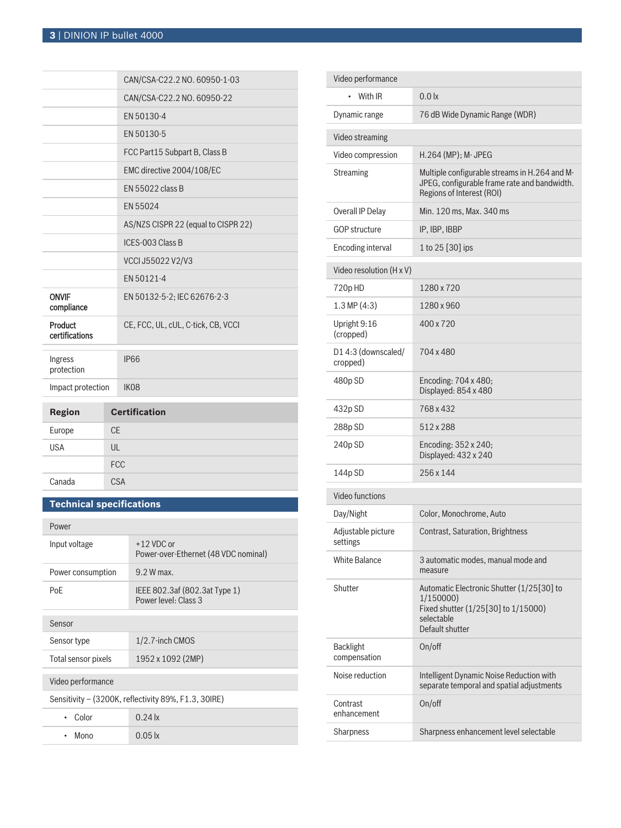|                            |              | CAN/CSA-C22.2 NO. 60950-1-03        |
|----------------------------|--------------|-------------------------------------|
|                            |              | CAN/CSA-C22.2 NO. 60950-22          |
|                            |              | EN 50130-4                          |
|                            |              | EN 50130-5                          |
|                            |              | FCC Part15 Subpart B, Class B       |
|                            |              | EMC directive 2004/108/EC           |
|                            |              | EN 55022 class B                    |
|                            |              | EN 55024                            |
|                            |              | AS/NZS CISPR 22 (equal to CISPR 22) |
|                            |              | ICES-003 Class B                    |
|                            |              | VCCI J55022 V2/V3                   |
|                            |              | EN 50121-4                          |
| <b>ONVIF</b><br>compliance |              | EN 50132-5-2; IEC 62676-2-3         |
| Product<br>certifications  |              | CE, FCC, UL, cUL, C-tick, CB, VCCI  |
| Ingress<br>protection      |              | <b>IP66</b>                         |
| Impact protection          |              | IK08                                |
| <b>Region</b>              |              | <b>Certification</b>                |
| Europe                     | CF           |                                     |
| <b>USA</b>                 | $\mathsf{U}$ |                                     |
|                            |              | <b>FCC</b>                          |

# **Technical specifications**

Canada CSA

| Power                                                |                                                       |  |  |
|------------------------------------------------------|-------------------------------------------------------|--|--|
| Input voltage                                        | $+12$ VDC or<br>Power-over-Ethernet (48 VDC nominal)  |  |  |
| Power consumption                                    | 9.2 W max.                                            |  |  |
| PoE                                                  | IEEE 802.3af (802.3at Type 1)<br>Power level: Class 3 |  |  |
| Sensor                                               |                                                       |  |  |
| Sensor type                                          | $1/2.7$ -inch CMOS                                    |  |  |
| Total sensor pixels                                  | 1952 x 1092 (2MP)                                     |  |  |
| Video performance                                    |                                                       |  |  |
| Sensitivity – (3200K, reflectivity 89%, F1.3, 30IRE) |                                                       |  |  |
| Color<br>٠                                           | $0.24$ lx                                             |  |  |
| Mono                                                 | $0.05 \mathrm{lx}$                                    |  |  |

| Video performance                |                                                                                                                                |  |
|----------------------------------|--------------------------------------------------------------------------------------------------------------------------------|--|
| With IR<br>$\bullet$             | 0.0 <sub>x</sub>                                                                                                               |  |
| Dynamic range                    | 76 dB Wide Dynamic Range (WDR)                                                                                                 |  |
| Video streaming                  |                                                                                                                                |  |
| Video compression                | H.264 (MP); M- JPEG                                                                                                            |  |
| <b>Streaming</b>                 | Multiple configurable streams in H.264 and M-<br>JPEG, configurable frame rate and bandwidth.<br>Regions of Interest (ROI)     |  |
| Overall IP Delay                 | Min. 120 ms, Max. 340 ms                                                                                                       |  |
| <b>GOP structure</b>             | IP, IBP, IBBP                                                                                                                  |  |
| <b>Encoding interval</b>         | 1 to 25 [30] ips                                                                                                               |  |
| Video resolution (H x V)         |                                                                                                                                |  |
| 720pHD                           | 1280 x 720                                                                                                                     |  |
| 1.3 MP(4:3)                      | 1280 x 960                                                                                                                     |  |
| Upright 9:16<br>(cropped)        | 400 x 720                                                                                                                      |  |
| D14:3 (downscaled/<br>cropped)   | 704 x 480                                                                                                                      |  |
| 480p SD                          | Encoding: 704 x 480;<br>Displayed: 854 x 480                                                                                   |  |
| 432p SD                          | 768 x 432                                                                                                                      |  |
| 288p SD                          | 512 x 288                                                                                                                      |  |
| 240p SD                          | Encoding: 352 x 240;<br>Displayed: 432 x 240                                                                                   |  |
| 144p SD                          | 256 x 144                                                                                                                      |  |
| Video functions                  |                                                                                                                                |  |
| Day/Night                        | Color, Monochrome, Auto                                                                                                        |  |
| Adjustable picture<br>settings   | Contrast, Saturation, Brightness                                                                                               |  |
| <b>White Balance</b>             | 3 automatic modes, manual mode and<br>measure                                                                                  |  |
| Shutter                          | Automatic Electronic Shutter (1/25[30] to<br>1/150000)<br>Fixed shutter (1/25[30] to 1/15000)<br>selectable<br>Default shutter |  |
| <b>Backlight</b><br>compensation | On/off                                                                                                                         |  |
| Noise reduction                  | Intelligent Dynamic Noise Reduction with<br>separate temporal and spatial adjustments                                          |  |
| Contrast<br>enhancement          | On/off                                                                                                                         |  |
| Sharpness                        | Sharpness enhancement level selectable                                                                                         |  |